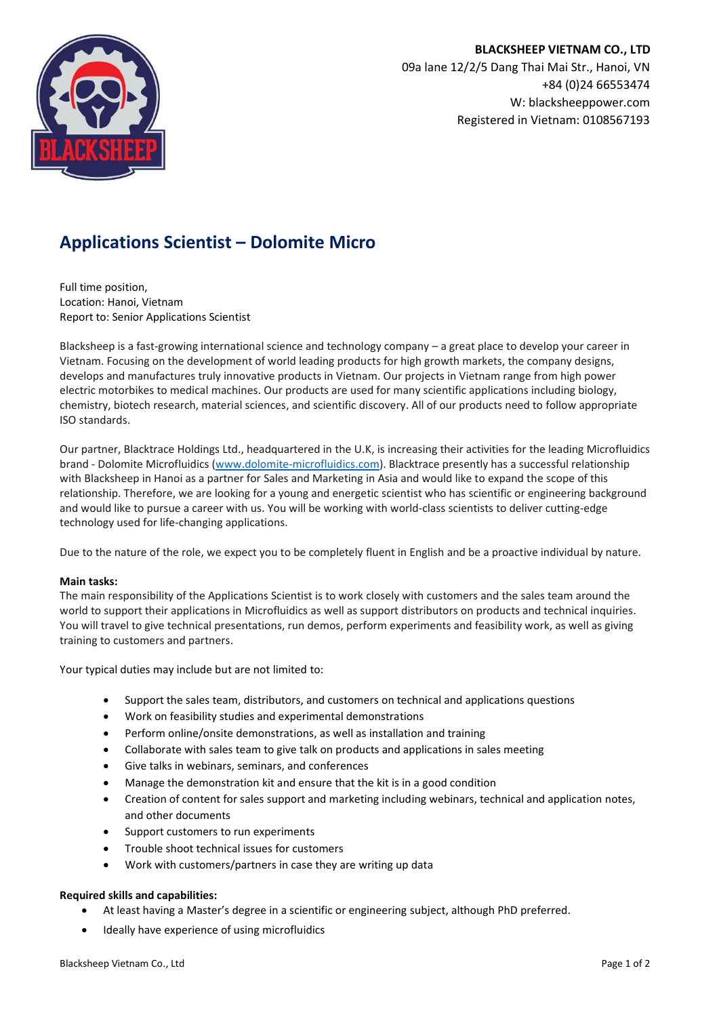

# **Applications Scientist – Dolomite Micro**

Full time position, Location: Hanoi, Vietnam Report to: Senior Applications Scientist

Blacksheep is a fast-growing international science and technology company – a great place to develop your career in Vietnam. Focusing on the development of world leading products for high growth markets, the company designs, develops and manufactures truly innovative products in Vietnam. Our projects in Vietnam range from high power electric motorbikes to medical machines. Our products are used for many scientific applications including biology, chemistry, biotech research, material sciences, and scientific discovery. All of our products need to follow appropriate ISO standards.

Our partner, Blacktrace Holdings Ltd., headquartered in the U.K, is increasing their activities for the leading Microfluidics brand - Dolomite Microfluidics [\(www.dolomite-microfluidics.com\)](http://www.dolomite-microfluidics.com/). Blacktrace presently has a successful relationship with Blacksheep in Hanoi as a partner for Sales and Marketing in Asia and would like to expand the scope of this relationship. Therefore, we are looking for a young and energetic scientist who has scientific or engineering background and would like to pursue a career with us. You will be working with world-class scientists to deliver cutting-edge technology used for life-changing applications.

Due to the nature of the role, we expect you to be completely fluent in English and be a proactive individual by nature.

## **Main tasks:**

The main responsibility of the Applications Scientist is to work closely with customers and the sales team around the world to support their applications in Microfluidics as well as support distributors on products and technical inquiries. You will travel to give technical presentations, run demos, perform experiments and feasibility work, as well as giving training to customers and partners.

Your typical duties may include but are not limited to:

- Support the sales team, distributors, and customers on technical and applications questions
- Work on feasibility studies and experimental demonstrations
- Perform online/onsite demonstrations, as well as installation and training
- Collaborate with sales team to give talk on products and applications in sales meeting
- Give talks in webinars, seminars, and conferences
- Manage the demonstration kit and ensure that the kit is in a good condition
- Creation of content for sales support and marketing including webinars, technical and application notes, and other documents
- Support customers to run experiments
- Trouble shoot technical issues for customers
- Work with customers/partners in case they are writing up data

## **Required skills and capabilities:**

- At least having a Master's degree in a scientific or engineering subject, although PhD preferred.
- Ideally have experience of using microfluidics